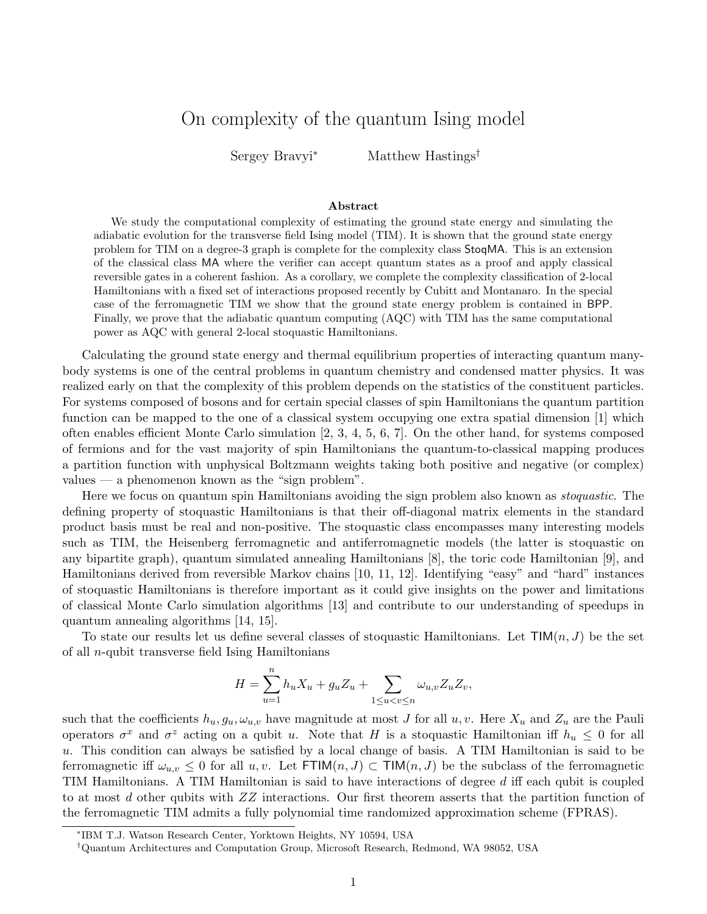## On complexity of the quantum Ising model

Sergey Bravyi<sup>∗</sup> Matthew Hastings†

## Abstract

We study the computational complexity of estimating the ground state energy and simulating the adiabatic evolution for the transverse field Ising model (TIM). It is shown that the ground state energy problem for TIM on a degree-3 graph is complete for the complexity class StoqMA. This is an extension of the classical class MA where the verifier can accept quantum states as a proof and apply classical reversible gates in a coherent fashion. As a corollary, we complete the complexity classification of 2-local Hamiltonians with a fixed set of interactions proposed recently by Cubitt and Montanaro. In the special case of the ferromagnetic TIM we show that the ground state energy problem is contained in BPP. Finally, we prove that the adiabatic quantum computing (AQC) with TIM has the same computational power as AQC with general 2-local stoquastic Hamiltonians.

Calculating the ground state energy and thermal equilibrium properties of interacting quantum manybody systems is one of the central problems in quantum chemistry and condensed matter physics. It was realized early on that the complexity of this problem depends on the statistics of the constituent particles. For systems composed of bosons and for certain special classes of spin Hamiltonians the quantum partition function can be mapped to the one of a classical system occupying one extra spatial dimension [1] which often enables efficient Monte Carlo simulation [2, 3, 4, 5, 6, 7]. On the other hand, for systems composed of fermions and for the vast majority of spin Hamiltonians the quantum-to-classical mapping produces a partition function with unphysical Boltzmann weights taking both positive and negative (or complex) values — a phenomenon known as the "sign problem".

Here we focus on quantum spin Hamiltonians avoiding the sign problem also known as stoquastic. The defining property of stoquastic Hamiltonians is that their off-diagonal matrix elements in the standard product basis must be real and non-positive. The stoquastic class encompasses many interesting models such as TIM, the Heisenberg ferromagnetic and antiferromagnetic models (the latter is stoquastic on any bipartite graph), quantum simulated annealing Hamiltonians [8], the toric code Hamiltonian [9], and Hamiltonians derived from reversible Markov chains [10, 11, 12]. Identifying "easy" and "hard" instances of stoquastic Hamiltonians is therefore important as it could give insights on the power and limitations of classical Monte Carlo simulation algorithms [13] and contribute to our understanding of speedups in quantum annealing algorithms [14, 15].

To state our results let us define several classes of stoquastic Hamiltonians. Let  $\text{TIM}(n, J)$  be the set of all n-qubit transverse field Ising Hamiltonians

$$
H = \sum_{u=1}^n h_u X_u + g_u Z_u + \sum_{1 \le u < v \le n} \omega_{u,v} Z_u Z_v,
$$

such that the coefficients  $h_u, g_u, \omega_{u,v}$  have magnitude at most J for all  $u, v$ . Here  $X_u$  and  $Z_u$  are the Pauli operators  $\sigma^x$  and  $\sigma^z$  acting on a qubit u. Note that H is a stoquastic Hamiltonian iff  $h_u \leq 0$  for all u. This condition can always be satisfied by a local change of basis. A TIM Hamiltonian is said to be ferromagnetic iff  $\omega_{u,v} \leq 0$  for all  $u, v$ . Let  $FTIM(n, J) \subset TIM(n, J)$  be the subclass of the ferromagnetic TIM Hamiltonians. A TIM Hamiltonian is said to have interactions of degree d iff each qubit is coupled to at most d other qubits with ZZ interactions. Our first theorem asserts that the partition function of the ferromagnetic TIM admits a fully polynomial time randomized approximation scheme (FPRAS).

<sup>∗</sup> IBM T.J. Watson Research Center, Yorktown Heights, NY 10594, USA

<sup>†</sup>Quantum Architectures and Computation Group, Microsoft Research, Redmond, WA 98052, USA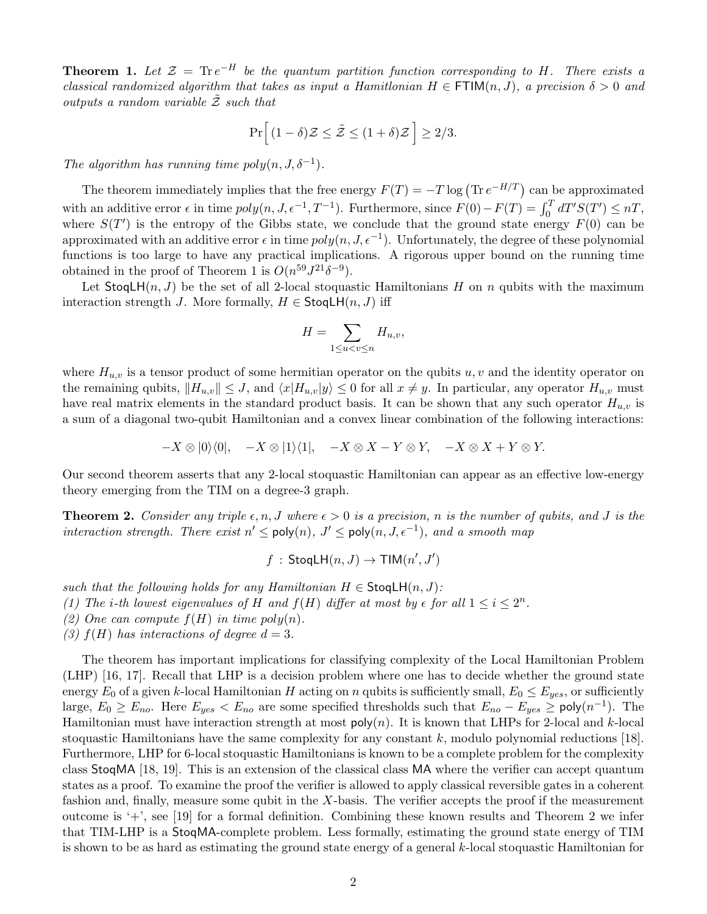**Theorem 1.** Let  $\mathcal{Z} = \text{Tr} e^{-H}$  be the quantum partition function corresponding to H. There exists a classical randomized algorithm that takes as input a Hamitlonian  $H \in \text{FTIM}(n, J)$ , a precision  $\delta > 0$  and outputs a random variable  $\tilde{z}$  such that

$$
\Pr\left[(1-\delta)\mathcal{Z}\leq \tilde{\mathcal{Z}}\leq (1+\delta)\mathcal{Z}\right]\geq 2/3.
$$

The algorithm has running time  $poly(n, J, \delta^{-1})$ .

The theorem immediately implies that the free energy  $F(T) = -T \log (\text{Tr } e^{-H/T})$  can be approximated with an additive error  $\epsilon$  in time  $poly(n, J, \epsilon^{-1}, T^{-1})$ . Furthermore, since  $F(0) - F(T) = \int_0^T dT'S(T') \leq nT$ , where  $S(T')$  is the entropy of the Gibbs state, we conclude that the ground state energy  $F(0)$  can be approximated with an additive error  $\epsilon$  in time  $poly(n, J, \epsilon^{-1})$ . Unfortunately, the degree of these polynomial functions is too large to have any practical implications. A rigorous upper bound on the running time obtained in the proof of Theorem 1 is  $O(n^{59}J^{21}\delta^{-9})$ .

Let  $\text{StogLH}(n, J)$  be the set of all 2-local stoquastic Hamiltonians H on n qubits with the maximum interaction strength J. More formally,  $H \in \mathsf{StoqlH}(n, J)$  iff

$$
H = \sum_{1 \le u < v \le n} H_{u,v},
$$

where  $H_{u,v}$  is a tensor product of some hermitian operator on the qubits  $u, v$  and the identity operator on the remaining qubits,  $||H_{u,v}|| \leq J$ , and  $\langle x|H_{u,v}|y\rangle \leq 0$  for all  $x \neq y$ . In particular, any operator  $H_{u,v}$  must have real matrix elements in the standard product basis. It can be shown that any such operator  $H_{u,v}$  is a sum of a diagonal two-qubit Hamiltonian and a convex linear combination of the following interactions:

$$
-X \otimes |0\rangle\langle 0|, \quad -X \otimes |1\rangle\langle 1|, \quad -X \otimes X - Y \otimes Y, \quad -X \otimes X + Y \otimes Y.
$$

Our second theorem asserts that any 2-local stoquastic Hamiltonian can appear as an effective low-energy theory emerging from the TIM on a degree-3 graph.

**Theorem 2.** Consider any triple  $\epsilon, n, J$  where  $\epsilon > 0$  is a precision, n is the number of qubits, and J is the interaction strength. There exist  $n' \leq \text{poly}(n), J' \leq \text{poly}(n, J, \epsilon^{-1}),$  and a smooth map

$$
f : \mathsf{StogLH}(n, J) \to \mathsf{TIM}(n', J')
$$

such that the following holds for any Hamiltonian  $H \in \mathsf{StoqLH}(n, J)$ :

(1) The *i*-th lowest eigenvalues of H and  $f(H)$  differ at most by  $\epsilon$  for all  $1 \leq i \leq 2^n$ .

(2) One can compute  $f(H)$  in time poly $(n)$ .

(3)  $f(H)$  has interactions of degree  $d = 3$ .

The theorem has important implications for classifying complexity of the Local Hamiltonian Problem (LHP) [16, 17]. Recall that LHP is a decision problem where one has to decide whether the ground state energy  $E_0$  of a given k-local Hamiltonian H acting on n qubits is sufficiently small,  $E_0 \le E_{yes}$ , or sufficiently large,  $E_0 \ge E_{no}$ . Here  $E_{yes} < E_{no}$  are some specified thresholds such that  $E_{no} - E_{yes} \ge \text{poly}(n^{-1})$ . The Hamiltonian must have interaction strength at most  $poly(n)$ . It is known that LHPs for 2-local and k-local stoquastic Hamiltonians have the same complexity for any constant  $k$ , modulo polynomial reductions [18]. Furthermore, LHP for 6-local stoquastic Hamiltonians is known to be a complete problem for the complexity class StoqMA [18, 19]. This is an extension of the classical class MA where the verifier can accept quantum states as a proof. To examine the proof the verifier is allowed to apply classical reversible gates in a coherent fashion and, finally, measure some qubit in the X-basis. The verifier accepts the proof if the measurement outcome is '+', see [19] for a formal definition. Combining these known results and Theorem 2 we infer that TIM-LHP is a StoqMA-complete problem. Less formally, estimating the ground state energy of TIM is shown to be as hard as estimating the ground state energy of a general k-local stoquastic Hamiltonian for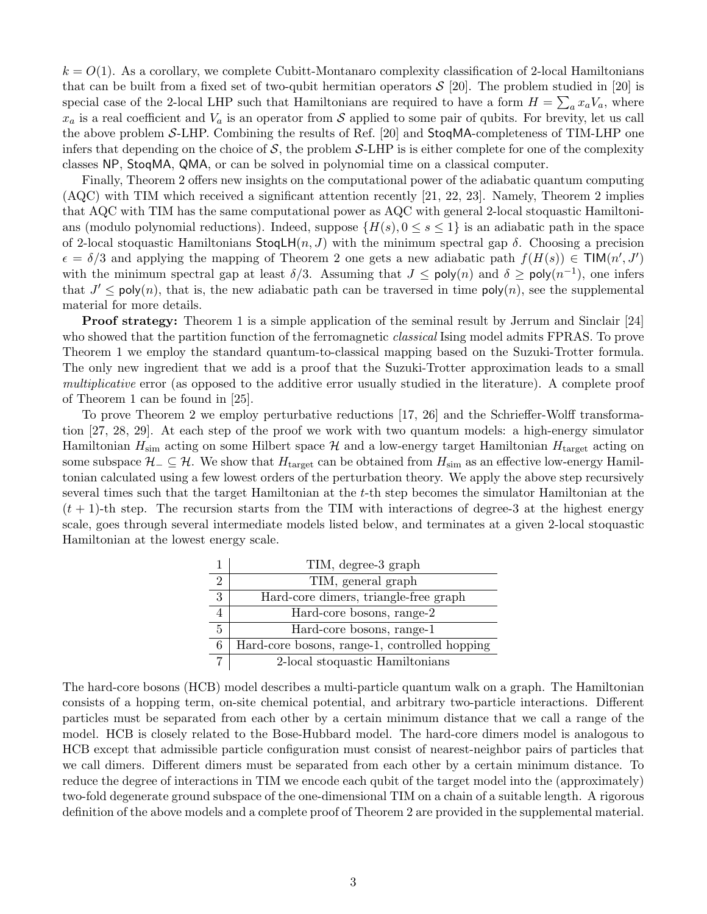$k = O(1)$ . As a corollary, we complete Cubitt-Montanaro complexity classification of 2-local Hamiltonians that can be built from a fixed set of two-qubit hermitian operators  $S$  [20]. The problem studied in [20] is special case of the 2-local LHP such that Hamiltonians are required to have a form  $H = \sum_a x_a V_a$ , where  $x_a$  is a real coefficient and  $V_a$  is an operator from S applied to some pair of qubits. For brevity, let us call the above problem S-LHP. Combining the results of Ref. [20] and StoqMA-completeness of TIM-LHP one infers that depending on the choice of  $S$ , the problem S-LHP is is either complete for one of the complexity classes NP, StoqMA, QMA, or can be solved in polynomial time on a classical computer.

Finally, Theorem 2 offers new insights on the computational power of the adiabatic quantum computing (AQC) with TIM which received a significant attention recently [21, 22, 23]. Namely, Theorem 2 implies that AQC with TIM has the same computational power as AQC with general 2-local stoquastic Hamiltonians (modulo polynomial reductions). Indeed, suppose  $\{H(s), 0 \le s \le 1\}$  is an adiabatic path in the space of 2-local stoquastic Hamiltonians  $\text{StogLH}(n, J)$  with the minimum spectral gap  $\delta$ . Choosing a precision  $\epsilon = \delta/3$  and applying the mapping of Theorem 2 one gets a new adiabatic path  $f(H(s)) \in \text{TIM}(n', J')$ with the minimum spectral gap at least  $\delta/3$ . Assuming that  $J \leq \text{poly}(n)$  and  $\delta \geq \text{poly}(n^{-1})$ , one infers that  $J' \leq \text{poly}(n)$ , that is, the new adiabatic path can be traversed in time  $\text{poly}(n)$ , see the supplemental material for more details.

**Proof strategy:** Theorem 1 is a simple application of the seminal result by Jerrum and Sinclair [24] who showed that the partition function of the ferromagnetic *classical* Ising model admits FPRAS. To prove Theorem 1 we employ the standard quantum-to-classical mapping based on the Suzuki-Trotter formula. The only new ingredient that we add is a proof that the Suzuki-Trotter approximation leads to a small multiplicative error (as opposed to the additive error usually studied in the literature). A complete proof of Theorem 1 can be found in [25].

To prove Theorem 2 we employ perturbative reductions [17, 26] and the Schrieffer-Wolff transformation [27, 28, 29]. At each step of the proof we work with two quantum models: a high-energy simulator Hamiltonian  $H_{\text{sim}}$  acting on some Hilbert space  $\mathcal H$  and a low-energy target Hamiltonian  $H_{\text{target}}$  acting on some subspace  $\mathcal{H}_- \subseteq \mathcal{H}$ . We show that  $H_{\text{target}}$  can be obtained from  $H_{\text{sim}}$  as an effective low-energy Hamiltonian calculated using a few lowest orders of the perturbation theory. We apply the above step recursively several times such that the target Hamiltonian at the t-th step becomes the simulator Hamiltonian at the  $(t + 1)$ -th step. The recursion starts from the TIM with interactions of degree-3 at the highest energy scale, goes through several intermediate models listed below, and terminates at a given 2-local stoquastic Hamiltonian at the lowest energy scale.

|                | TIM, degree-3 graph                           |
|----------------|-----------------------------------------------|
| $\overline{2}$ | TIM, general graph                            |
| 3              | Hard-core dimers, triangle-free graph         |
|                | Hard-core bosons, range-2                     |
| $\overline{5}$ | Hard-core bosons, range-1                     |
| 6              | Hard-core bosons, range-1, controlled hopping |
|                | 2-local stoquastic Hamiltonians               |

The hard-core bosons (HCB) model describes a multi-particle quantum walk on a graph. The Hamiltonian consists of a hopping term, on-site chemical potential, and arbitrary two-particle interactions. Different particles must be separated from each other by a certain minimum distance that we call a range of the model. HCB is closely related to the Bose-Hubbard model. The hard-core dimers model is analogous to HCB except that admissible particle configuration must consist of nearest-neighbor pairs of particles that we call dimers. Different dimers must be separated from each other by a certain minimum distance. To reduce the degree of interactions in TIM we encode each qubit of the target model into the (approximately) two-fold degenerate ground subspace of the one-dimensional TIM on a chain of a suitable length. A rigorous definition of the above models and a complete proof of Theorem 2 are provided in the supplemental material.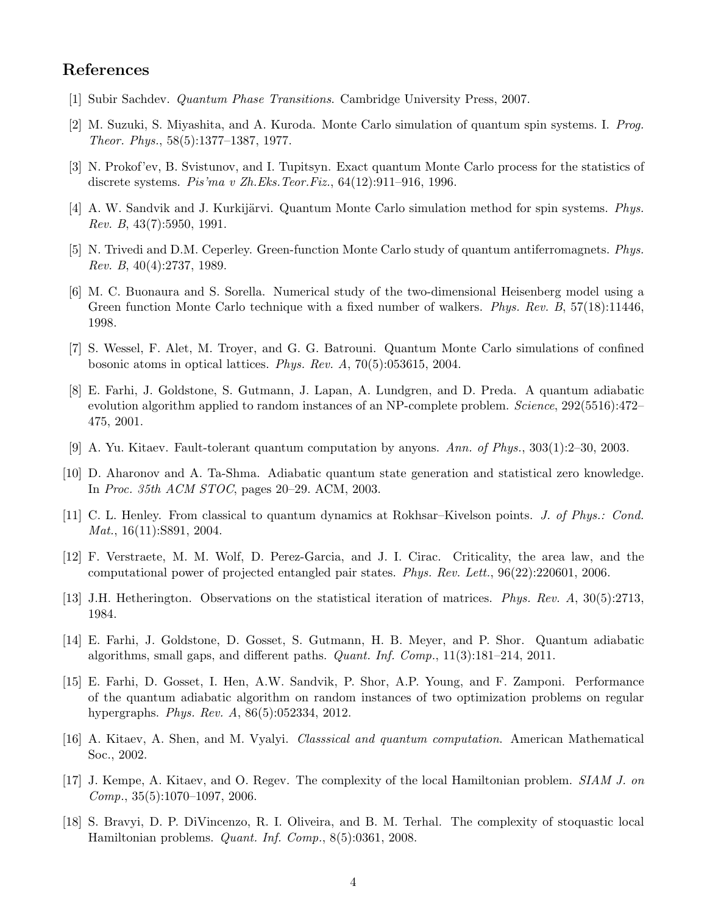## References

- [1] Subir Sachdev. Quantum Phase Transitions. Cambridge University Press, 2007.
- [2] M. Suzuki, S. Miyashita, and A. Kuroda. Monte Carlo simulation of quantum spin systems. I. Prog. Theor. Phys., 58(5):1377–1387, 1977.
- [3] N. Prokof'ev, B. Svistunov, and I. Tupitsyn. Exact quantum Monte Carlo process for the statistics of discrete systems. Pis'ma v Zh.Eks.Teor.Fiz., 64(12):911–916, 1996.
- [4] A. W. Sandvik and J. Kurkijärvi. Quantum Monte Carlo simulation method for spin systems. Phys. Rev. B, 43(7):5950, 1991.
- [5] N. Trivedi and D.M. Ceperley. Green-function Monte Carlo study of quantum antiferromagnets. Phys. Rev. B, 40(4):2737, 1989.
- [6] M. C. Buonaura and S. Sorella. Numerical study of the two-dimensional Heisenberg model using a Green function Monte Carlo technique with a fixed number of walkers. *Phys. Rev. B*, 57(18):11446, 1998.
- [7] S. Wessel, F. Alet, M. Troyer, and G. G. Batrouni. Quantum Monte Carlo simulations of confined bosonic atoms in optical lattices. Phys. Rev. A, 70(5):053615, 2004.
- [8] E. Farhi, J. Goldstone, S. Gutmann, J. Lapan, A. Lundgren, and D. Preda. A quantum adiabatic evolution algorithm applied to random instances of an NP-complete problem. Science, 292(5516):472– 475, 2001.
- [9] A. Yu. Kitaev. Fault-tolerant quantum computation by anyons. Ann. of Phys., 303(1):2–30, 2003.
- [10] D. Aharonov and A. Ta-Shma. Adiabatic quantum state generation and statistical zero knowledge. In Proc. 35th ACM STOC, pages 20–29. ACM, 2003.
- [11] C. L. Henley. From classical to quantum dynamics at Rokhsar–Kivelson points. J. of Phys.: Cond. Mat., 16(11):S891, 2004.
- [12] F. Verstraete, M. M. Wolf, D. Perez-Garcia, and J. I. Cirac. Criticality, the area law, and the computational power of projected entangled pair states. Phys. Rev. Lett., 96(22):220601, 2006.
- [13] J.H. Hetherington. Observations on the statistical iteration of matrices. Phys. Rev. A, 30(5):2713, 1984.
- [14] E. Farhi, J. Goldstone, D. Gosset, S. Gutmann, H. B. Meyer, and P. Shor. Quantum adiabatic algorithms, small gaps, and different paths. Quant. Inf. Comp., 11(3):181–214, 2011.
- [15] E. Farhi, D. Gosset, I. Hen, A.W. Sandvik, P. Shor, A.P. Young, and F. Zamponi. Performance of the quantum adiabatic algorithm on random instances of two optimization problems on regular hypergraphs. Phys. Rev. A, 86(5):052334, 2012.
- [16] A. Kitaev, A. Shen, and M. Vyalyi. Classsical and quantum computation. American Mathematical Soc., 2002.
- [17] J. Kempe, A. Kitaev, and O. Regev. The complexity of the local Hamiltonian problem. SIAM J. on  $Comp., 35(5):1070-1097, 2006.$
- [18] S. Bravyi, D. P. DiVincenzo, R. I. Oliveira, and B. M. Terhal. The complexity of stoquastic local Hamiltonian problems. Quant. Inf. Comp., 8(5):0361, 2008.